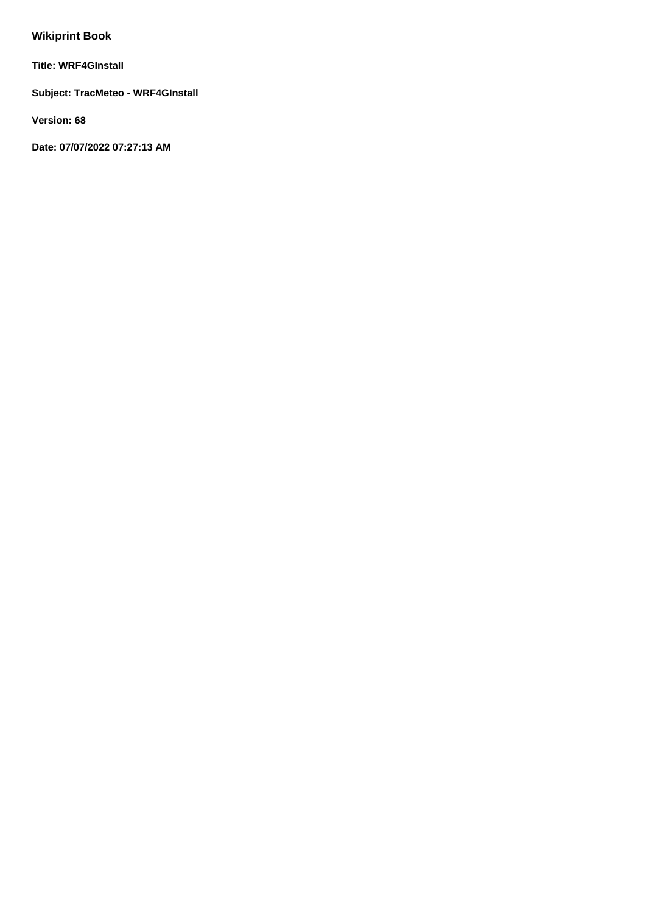# **Wikiprint Book**

**Title: WRF4GInstall**

**Subject: TracMeteo - WRF4GInstall**

**Version: 68**

**Date: 07/07/2022 07:27:13 AM**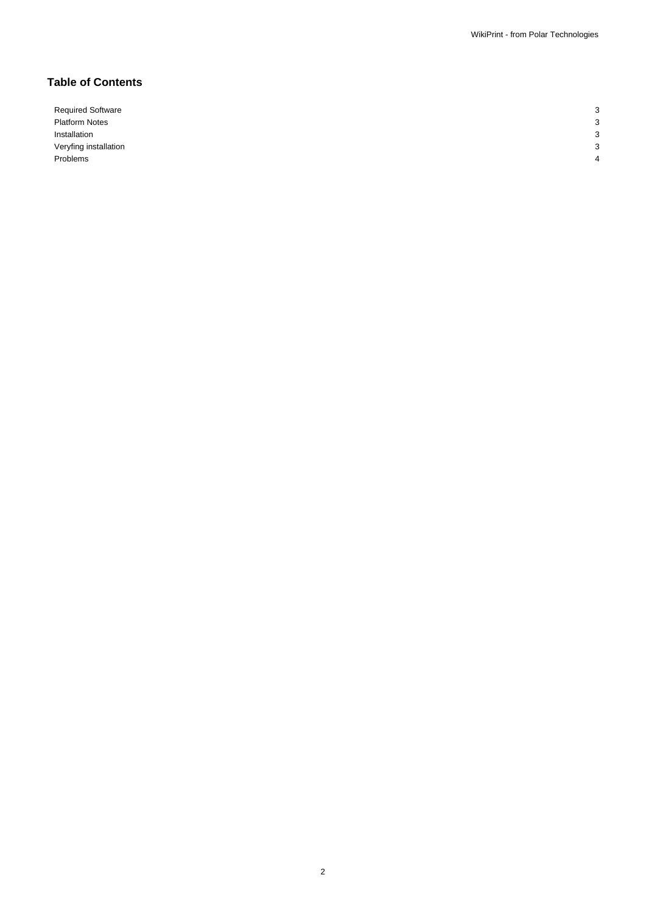# **Table of Contents**

Required Software 3 Platform Notes 3 Installation 3 Veryfing installation 3 Problems 4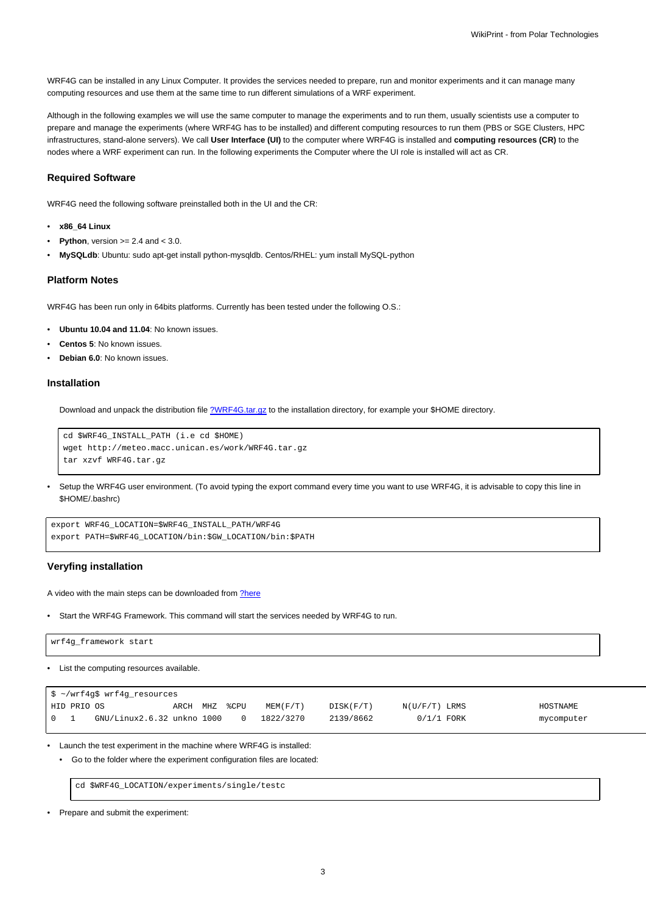WRF4G can be installed in any Linux Computer. It provides the services needed to prepare, run and monitor experiments and it can manage many computing resources and use them at the same time to run different simulations of a WRF experiment.

Although in the following examples we will use the same computer to manage the experiments and to run them, usually scientists use a computer to prepare and manage the experiments (where WRF4G has to be installed) and different computing resources to run them (PBS or SGE Clusters, HPC infrastructures, stand-alone servers). We call **User Interface (UI)** to the computer where WRF4G is installed and **computing resources (CR)** to the nodes where a WRF experiment can run. In the following experiments the Computer where the UI role is installed will act as CR.

#### **Required Software**

WRF4G need the following software preinstalled both in the UI and the CR:

- **x86\_64 Linux**
- **Python**, version  $>= 2.4$  and  $< 3.0$ .
- **MySQLdb**: Ubuntu: sudo apt-get install python-mysqldb. Centos/RHEL: yum install MySQL-python

#### **Platform Notes**

WRF4G has been run only in 64bits platforms. Currently has been tested under the following O.S.:

- **Ubuntu 10.04 and 11.04**: No known issues.
- **Centos 5**: No known issues.
- **Debian 6.0**: No known issues.

#### **Installation**

Download and unpack the distribution file [?WRF4G.tar.gz](http://meteo.macc.unican.es/work/WRF4G.tar.gz) to the installation directory, for example your \$HOME directory.

```
cd $WRF4G_INSTALL_PATH (i.e cd $HOME)
wget http://meteo.macc.unican.es/work/WRF4G.tar.gz
tar xzvf WRF4G.tar.gz
```
• Setup the WRF4G user environment. (To avoid typing the export command every time you want to use WRF4G, it is advisable to copy this line in \$HOME/.bashrc)

```
export WRF4G_LOCATION=$WRF4G_INSTALL_PATH/WRF4G
export PATH=$WRF4G_LOCATION/bin:$GW_LOCATION/bin:$PATH
```
#### **Veryfing installation**

A video with the main steps can be downloaded from [?here](http://meteo.macc.unican.es/work/WRF4Gdemo.mpeg)

• Start the WRF4G Framework. This command will start the services needed by WRF4G to run.

| 'wrf4g_framework start |  |  |
|------------------------|--|--|
|                        |  |  |

• List the computing resources available.

|                                 |             | \$ ~/wrf4g\$ wrf4g_resources |               |  |           |           |                 |            |
|---------------------------------|-------------|------------------------------|---------------|--|-----------|-----------|-----------------|------------|
|                                 | HID PRIO OS |                              | ARCH MHZ %CPU |  | MEM(F/T)  | DISK(F/T) | $N(U/F/T)$ LRMS | HOSTNAME   |
| $\begin{matrix} 0 \end{matrix}$ |             | GNU/Linux2.6.32 unkno 1000   |               |  | 1822/3270 | 2139/8662 | $0/1/1$ FORK    | mycomputer |

• Launch the test experiment in the machine where WRF4G is installed:

• Go to the folder where the experiment configuration files are located:

cd \$WRF4G\_LOCATION/experiments/single/testc

• Prepare and submit the experiment: